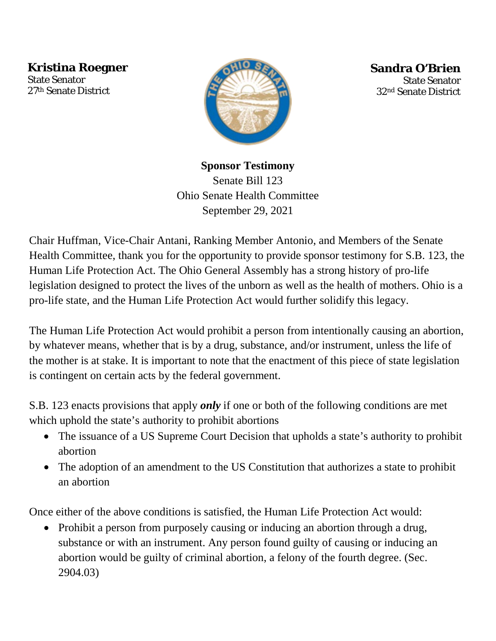**Kristina Roegner**

**Sponsor Testimony** 27th Senate District State Senator



**Sandra O'Brien** State Senator 32nd Senate District

## **Sponsor Testimony**

Senate Bill 123 Ohio Senate Health Committee September 29, 2021

Chair Huffman, Vice-Chair Antani, Ranking Member Antonio, and Members of the Senate Health Committee, thank you for the opportunity to provide sponsor testimony for S.B. 123, the Human Life Protection Act. The Ohio General Assembly has a strong history of pro-life legislation designed to protect the lives of the unborn as well as the health of mothers. Ohio is a pro-life state, and the Human Life Protection Act would further solidify this legacy.

The Human Life Protection Act would prohibit a person from intentionally causing an abortion, by whatever means, whether that is by a drug, substance, and/or instrument, unless the life of the mother is at stake. It is important to note that the enactment of this piece of state legislation is contingent on certain acts by the federal government.

S.B. 123 enacts provisions that apply *only* if one or both of the following conditions are met which uphold the state's authority to prohibit abortions

- The issuance of a US Supreme Court Decision that upholds a state's authority to prohibit abortion
- The adoption of an amendment to the US Constitution that authorizes a state to prohibit an abortion

Once either of the above conditions is satisfied, the Human Life Protection Act would:

• Prohibit a person from purposely causing or inducing an abortion through a drug, substance or with an instrument. Any person found guilty of causing or inducing an abortion would be guilty of criminal abortion, a felony of the fourth degree. (Sec. 2904.03)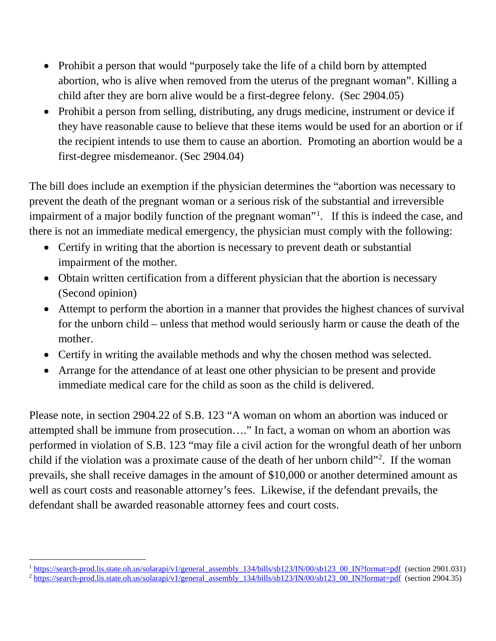- Prohibit a person that would "purposely take the life of a child born by attempted abortion, who is alive when removed from the uterus of the pregnant woman". Killing a child after they are born alive would be a first-degree felony. (Sec 2904.05)
- Prohibit a person from selling, distributing, any drugs medicine, instrument or device if they have reasonable cause to believe that these items would be used for an abortion or if the recipient intends to use them to cause an abortion. Promoting an abortion would be a first-degree misdemeanor. (Sec 2904.04)

The bill does include an exemption if the physician determines the "abortion was necessary to prevent the death of the pregnant woman or a serious risk of the substantial and irreversible impairment of a major bodily function of the pregnant woman"<sup>[1](#page-1-0)</sup>. If this is indeed the case, and there is not an immediate medical emergency, the physician must comply with the following:

- Certify in writing that the abortion is necessary to prevent death or substantial impairment of the mother.
- Obtain written certification from a different physician that the abortion is necessary (Second opinion)
- Attempt to perform the abortion in a manner that provides the highest chances of survival for the unborn child – unless that method would seriously harm or cause the death of the mother.
- Certify in writing the available methods and why the chosen method was selected.
- Arrange for the attendance of at least one other physician to be present and provide immediate medical care for the child as soon as the child is delivered.

Please note, in section 2904.22 of S.B. 123 "A woman on whom an abortion was induced or attempted shall be immune from prosecution…." In fact, a woman on whom an abortion was performed in violation of S.B. 123 "may file a civil action for the wrongful death of her unborn child if the violation was a proximate cause of the death of her unborn child"<sup>[2](#page-1-1)</sup>. If the woman prevails, she shall receive damages in the amount of \$10,000 or another determined amount as well as court costs and reasonable attorney's fees. Likewise, if the defendant prevails, the defendant shall be awarded reasonable attorney fees and court costs.

 $1 \text{ https://search-prod.is.state.oh.us/solarapi/v1/general}$  assembly  $134/bills/sb123/IN/00/sb123$  00 IN?format=pdf (section 2901.031)

<span id="page-1-1"></span><span id="page-1-0"></span> $^2$  [https://search-prod.lis.state.oh.us/solarapi/v1/general\\_assembly\\_134/bills/sb123/IN/00/sb123\\_00\\_IN?format=pdf](https://search-prod.lis.state.oh.us/solarapi/v1/general_assembly_134/bills/sb123/IN/00/sb123_00_IN?format=pdf) (section 2904.35)